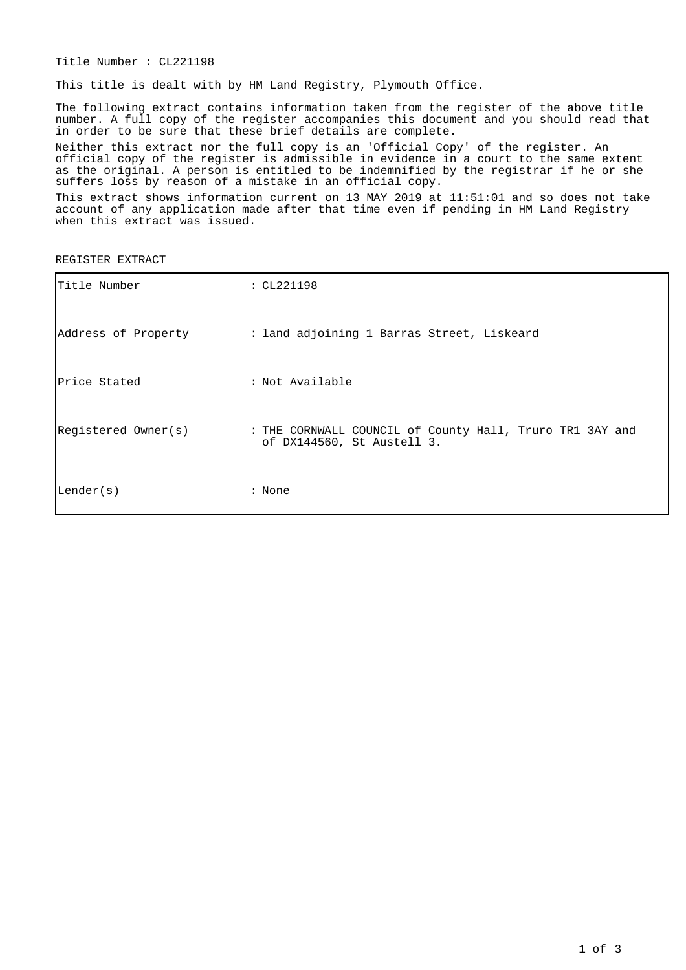Title Number : CL221198

This title is dealt with by HM Land Registry, Plymouth Office.

The following extract contains information taken from the register of the above title number. A full copy of the register accompanies this document and you should read that in order to be sure that these brief details are complete.

Neither this extract nor the full copy is an 'Official Copy' of the register. An official copy of the register is admissible in evidence in a court to the same extent as the original. A person is entitled to be indemnified by the registrar if he or she suffers loss by reason of a mistake in an official copy.

This extract shows information current on 13 MAY 2019 at 11:51:01 and so does not take account of any application made after that time even if pending in HM Land Registry when this extract was issued.

REGISTER EXTRACT

| Title Number        | : CL221198                                                                             |
|---------------------|----------------------------------------------------------------------------------------|
|                     | Address of Property : land adjoining 1 Barras Street, Liskeard                         |
| Price Stated        | : Not Available                                                                        |
| Registered Owner(s) | : THE CORNWALL COUNCIL of County Hall, Truro TR1 3AY and<br>of DX144560, St Austell 3. |
| Lender(s)           | : None                                                                                 |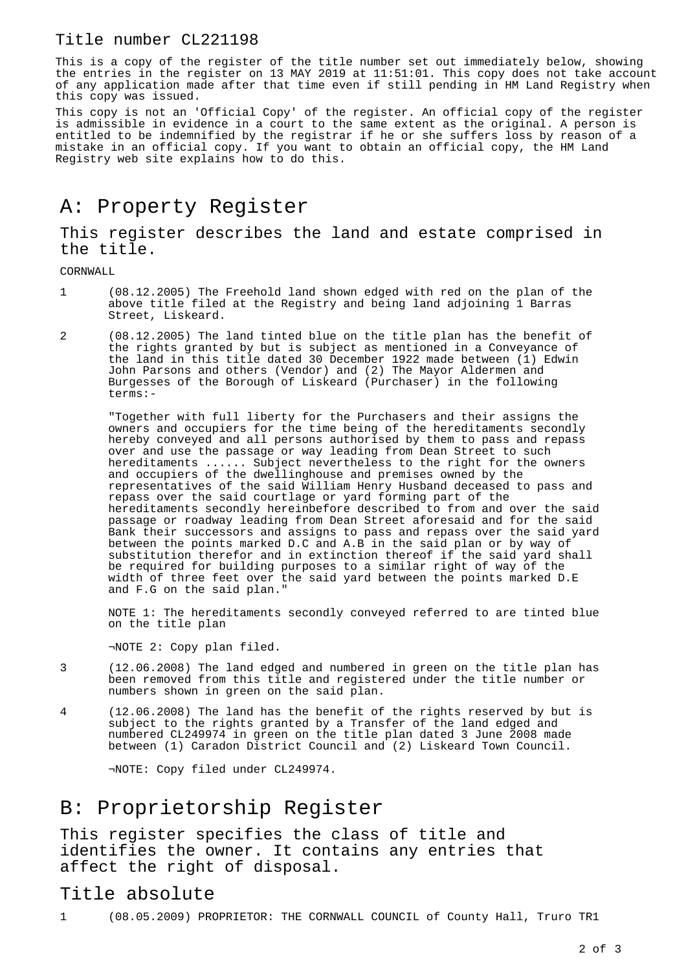#### Title number CL221198

This is a copy of the register of the title number set out immediately below, showing the entries in the register on 13 MAY 2019 at 11:51:01. This copy does not take account of any application made after that time even if still pending in HM Land Registry when this copy was issued.

This copy is not an 'Official Copy' of the register. An official copy of the register is admissible in evidence in a court to the same extent as the original. A person is entitled to be indemnified by the registrar if he or she suffers loss by reason of a mistake in an official copy. If you want to obtain an official copy, the HM Land Registry web site explains how to do this.

## A: Property Register

This register describes the land and estate comprised in the title.

CORNWALL

- 1 (08.12.2005) The Freehold land shown edged with red on the plan of the above title filed at the Registry and being land adjoining 1 Barras Street, Liskeard.
- 2 (08.12.2005) The land tinted blue on the title plan has the benefit of the rights granted by but is subject as mentioned in a Conveyance of the land in this title dated 30 December 1922 made between (1) Edwin John Parsons and others (Vendor) and (2) The Mayor Aldermen and Burgesses of the Borough of Liskeard (Purchaser) in the following terms:-

"Together with full liberty for the Purchasers and their assigns the owners and occupiers for the time being of the hereditaments secondly hereby conveyed and all persons authorised by them to pass and repass over and use the passage or way leading from Dean Street to such hereditaments ...... Subject nevertheless to the right for the owners and occupiers of the dwellinghouse and premises owned by the representatives of the said William Henry Husband deceased to pass and repass over the said courtlage or yard forming part of the hereditaments secondly hereinbefore described to from and over the said passage or roadway leading from Dean Street aforesaid and for the said Bank their successors and assigns to pass and repass over the said yard between the points marked D.C and A.B in the said plan or by way of substitution therefor and in extinction thereof if the said yard shall be required for building purposes to a similar right of way of the width of three feet over the said yard between the points marked D.E and F.G on the said plan."

NOTE 1: The hereditaments secondly conveyed referred to are tinted blue on the title plan

¬NOTE 2: Copy plan filed.

- 3 (12.06.2008) The land edged and numbered in green on the title plan has been removed from this title and registered under the title number or numbers shown in green on the said plan.
- 4 (12.06.2008) The land has the benefit of the rights reserved by but is subject to the rights granted by a Transfer of the land edged and numbered CL249974 in green on the title plan dated 3 June 2008 made between (1) Caradon District Council and (2) Liskeard Town Council.

¬NOTE: Copy filed under CL249974.

## B: Proprietorship Register

This register specifies the class of title and identifies the owner. It contains any entries that affect the right of disposal.

#### Title absolute

1 (08.05.2009) PROPRIETOR: THE CORNWALL COUNCIL of County Hall, Truro TR1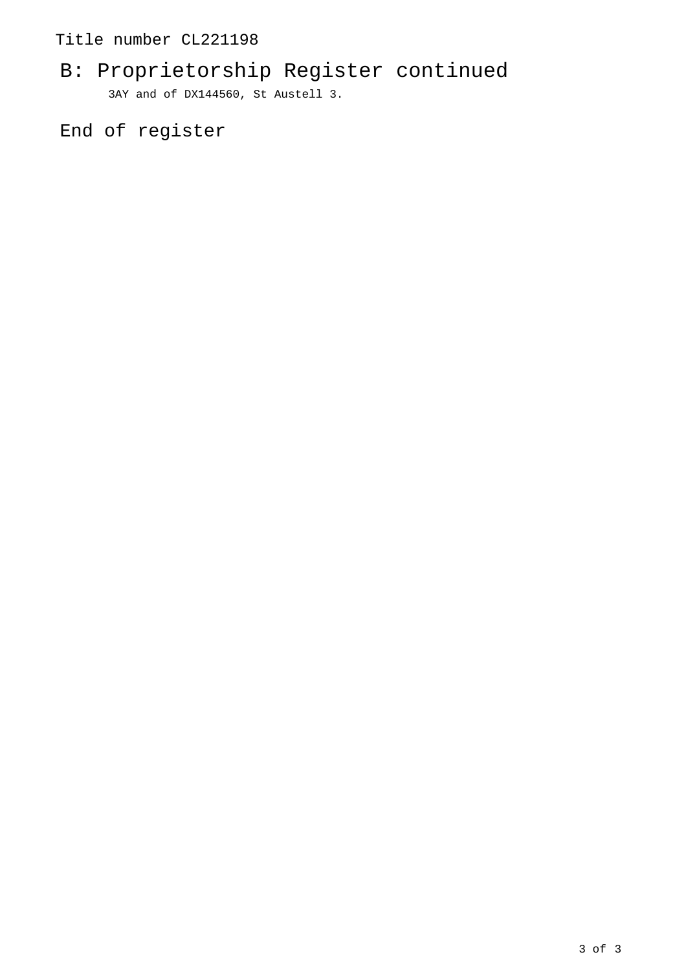## Title number CL221198

# B: Proprietorship Register continued 3AY and of DX144560, St Austell 3.

End of register